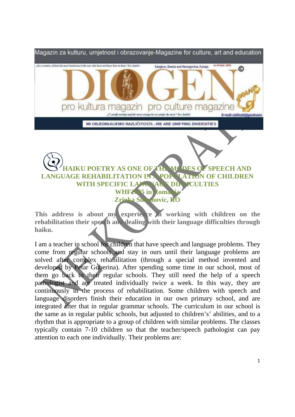

## **LANGUAGE REHABILITATION IN A POPULATION OF CHILDREN WITH SPECIFIC LAXGUAGE TON FICULTIES** WHF2005 in Roma **Zrinka Simunovic, RO**

This address is about my experience in working with children on the **rehabilitation their speech and dealing with their language difficulties through haiku.** 

I am a teacher in school for children that have speech and language problems. They come from regular schools and stay in ours until their language problems are solved after complex rehabilitation (through a special method invented and developed by Petar Guberina). After spending some time in our school, most of them go back to their regular schools. They still need the help of a speech pathologist and are treated individually twice a week. In this way, they are continuously in the process of rehabilitation. Some children with speech and language disorders finish their education in our own primary school, and are integrated after that in regular grammar schools. The curriculum in our school is the same as in regular public schools, but adjusted to children's' abilities, and to a rhythm that is appropriate to a group of children with similar problems. The classes typically contain 7-10 children so that the teacher/speech pathologist can pay attention to each one individually. Their problems are: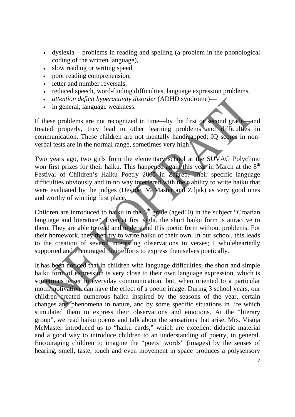- dyslexia problems in reading and spelling (a problem in the phonological coding of the written language),
- slow reading or writing speed,
- poor reading comprehension,
- letter and number reversals,
- reduced speech, word-finding difficulties, language expression problems,
- *attention deficit hyperactivity disorder* (ADHD syndrome)—
- in general, language weakness.

If these problems are not recognized in time—by the first or second grade—and treated properly, they lead to other learning problems and difficulties in communication. These children are not mentally handicapped; IQ scores in nonverbal tests are in the normal range, sometimes very high!

Two years ago, two girls from the elementary school at the SUVAG Polyclinic won first prizes for their haiku. This happened again this year in March at the  $8<sup>th</sup>$ Festival of Children's Haiku Poetry 2005 in Zagreb. Their specific language difficulties obviously and in no way interfered with their ability to write haiku that were evaluated by the judges (Devide, McMaster and Ziljak) as very good ones and worthy of winning first place.

Children are introduced to haiku in the  $5<sup>th</sup>$  grade (aged10) in the subject "Croatian language and literature". Even at first sight, the short haiku form is attractive to them. They are able to read and understand this poetic form without problems. For their homework, they then try to write haiku of their own. In our school, this leads to the creation of several interesting observations in verses; I wholeheartedly supported and encouraged their efforts to express themselves poetically.

It has been noticed that in children with language difficulties, the short and simple haiku form of expression is very close to their own language expression, which is sometimes terser in everyday communication, but, when oriented to a particular motif/motivation, can have the effect of a poetic image. During 3 school years, our children created numerous haiku inspired by the seasons of the year, certain changes and phenomena in nature, and by some specific situations in life which stimulated them to express their observations and emotions. At the "literary group", we read haiku poems and talk about the sensations that arise. Mrs. Visnja McMaster introduced us to "haiku cards," which are excellent didactic material and a good way to introduce children to an understanding of poetry, in general. Encouraging children to imagine the "poets' words" (images) by the senses of hearing, smell, taste, touch and even movement in space produces a polysensory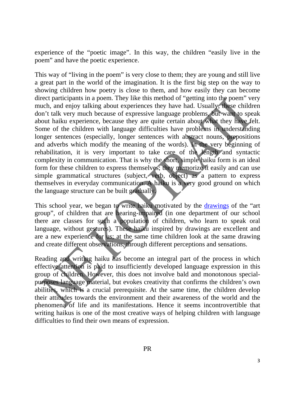experience of the "poetic image". In this way, the children "easily live in the poem" and have the poetic experience.

This way of "living in the poem" is very close to them; they are young and still live a great part in the world of the imagination. It is the first big step on the way to showing children how poetry is close to them, and how easily they can become direct participants in a poem. They like this method of "getting into the poem" very much, and enjoy talking about experiences they have had. Usually, these children don't talk very much because of expressive language problems, but want to speak about haiku experience, because they are quite certain about what they have felt. Some of the children with language difficulties have problems in understanding longer sentences (especially, longer sentences with abstract nouns, prepositions and adverbs which modify the meaning of the words). In the very beginning of rehabilitation, it is very important to take care of the length and syntactic complexity in communication. That is why the short, simple haiku form is an ideal form for these children to express themselves; they memorize it easily and can use simple grammatical structures (subject, verb, object) as a pattern to express themselves in everyday communication. A haiku is a very good ground on which the language structure can be built gradually.

This school year, we began to write haiku motivated by the drawings of the "art" group", of children that are hearing-impaired (in one department of our school there are classes for such a population of children, who learn to speak oral language, without gestures). These haiku inspired by drawings are excellent and are a new experience for us; at the same time children look at the same drawing and create different observations, through different perceptions and sensations.

Reading and writing haiku has become an integral part of the process in which effective attention is paid to insufficiently developed language expression in this group of children. However, this does not involve bald and monotonous specialpurposes language material, but evokes creativity that confirms the children's own abilities, which is a crucial prerequisite. At the same time, the children develop their attitudes towards the environment and their awareness of the world and the phenomena of life and its manifestations. Hence it seems incontrovertible that writing haikus is one of the most creative ways of helping children with language difficulties to find their own means of expression.